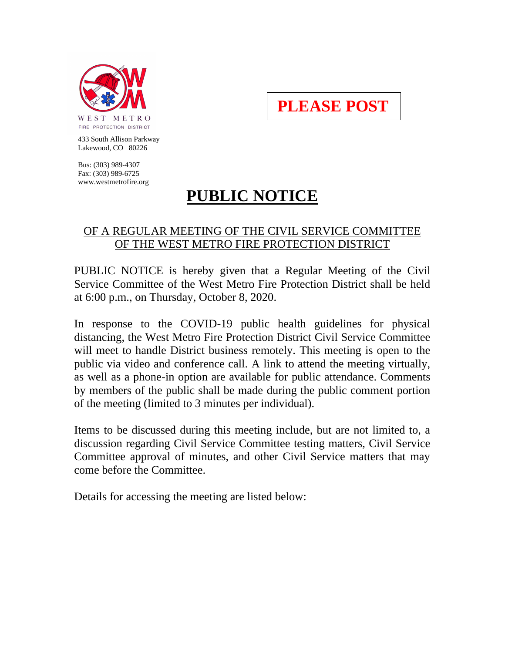

**PLEASE POST**

 433 South Allison Parkway Lakewood, CO 80226

 Bus: (303) 989-4307 Fax: (303) 989-6725 www.westmetrofire.org

## **PUBLIC NOTICE**

## OF A REGULAR MEETING OF THE CIVIL SERVICE COMMITTEE OF THE WEST METRO FIRE PROTECTION DISTRICT

PUBLIC NOTICE is hereby given that a Regular Meeting of the Civil Service Committee of the West Metro Fire Protection District shall be held at 6:00 p.m., on Thursday, October 8, 2020.

In response to the COVID-19 public health guidelines for physical distancing, the West Metro Fire Protection District Civil Service Committee will meet to handle District business remotely. This meeting is open to the public via video and conference call. A link to attend the meeting virtually, as well as a phone-in option are available for public attendance. Comments by members of the public shall be made during the public comment portion of the meeting (limited to 3 minutes per individual).

Items to be discussed during this meeting include, but are not limited to, a discussion regarding Civil Service Committee testing matters, Civil Service Committee approval of minutes, and other Civil Service matters that may come before the Committee.

Details for accessing the meeting are listed below: